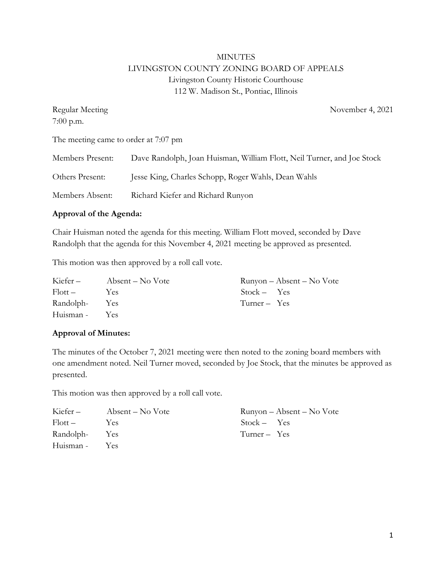# MINUTES LIVINGSTON COUNTY ZONING BOARD OF APPEALS Livingston County Historic Courthouse 112 W. Madison St., Pontiac, Illinois

| Regular Meeting                      | November 4, 2021                                                       |
|--------------------------------------|------------------------------------------------------------------------|
| $7:00$ p.m.                          |                                                                        |
| The meeting came to order at 7:07 pm |                                                                        |
| Members Present:                     | Dave Randolph, Joan Huisman, William Flott, Neil Turner, and Joe Stock |
| Others Present:                      | Jesse King, Charles Schopp, Roger Wahls, Dean Wahls                    |
| Members Absent:                      | Richard Kiefer and Richard Runyon                                      |

### **Approval of the Agenda:**

Chair Huisman noted the agenda for this meeting. William Flott moved, seconded by Dave Randolph that the agenda for this November 4, 2021 meeting be approved as presented.

This motion was then approved by a roll call vote.

| Kiefer –      | Absent – No Vote | Runyon – Absent – No Vote |
|---------------|------------------|---------------------------|
| Flott –       | Y es             | $Stock - Yes$             |
| Randolph- Yes |                  | Turner – Yes              |
| Huisman - Yes |                  |                           |

### **Approval of Minutes:**

The minutes of the October 7, 2021 meeting were then noted to the zoning board members with one amendment noted. Neil Turner moved, seconded by Joe Stock, that the minutes be approved as presented.

This motion was then approved by a roll call vote.

| Kiefer –      | Absent – No Vote | Runyon – Absent – No Vote |
|---------------|------------------|---------------------------|
| Flott –       | <b>Yes</b>       | $Stock - Yes$             |
| Randolph- Yes |                  | Turner – Yes              |
| Huisman - Yes |                  |                           |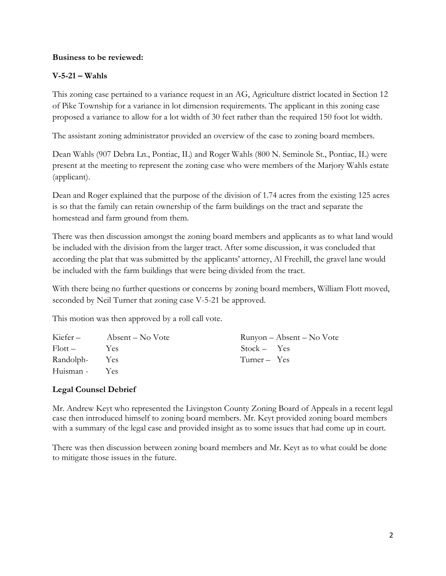### **Business to be reviewed:**

## **V-5-21 – Wahls**

This zoning case pertained to a variance request in an AG, Agriculture district located in Section 12 of Pike Township for a variance in lot dimension requirements. The applicant in this zoning case proposed a variance to allow for a lot width of 30 feet rather than the required 150 foot lot width.

The assistant zoning administrator provided an overview of the case to zoning board members.

Dean Wahls (907 Debra Ln., Pontiac, IL) and Roger Wahls (800 N. Seminole St., Pontiac, IL) were present at the meeting to represent the zoning case who were members of the Marjory Wahls estate (applicant).

Dean and Roger explained that the purpose of the division of 1.74 acres from the existing 125 acres is so that the family can retain ownership of the farm buildings on the tract and separate the homestead and farm ground from them.

There was then discussion amongst the zoning board members and applicants as to what land would be included with the division from the larger tract. After some discussion, it was concluded that according the plat that was submitted by the applicants' attorney, Al Freehill, the gravel lane would be included with the farm buildings that were being divided from the tract.

With there being no further questions or concerns by zoning board members, William Flott moved, seconded by Neil Turner that zoning case V-5-21 be approved.

This motion was then approved by a roll call vote.

| Kiefer –      | Absent – No Vote | $Runyon - Absent - No \tVote$ |
|---------------|------------------|-------------------------------|
| $Flott -$     | <b>Yes</b>       | $Stock - Yes$                 |
| Randolph- Yes |                  | Turner $-$ Yes                |
| Huisman - Yes |                  |                               |

### **Legal Counsel Debrief**

Mr. Andrew Keyt who represented the Livingston County Zoning Board of Appeals in a recent legal case then introduced himself to zoning board members. Mr. Keyt provided zoning board members with a summary of the legal case and provided insight as to some issues that had come up in court.

There was then discussion between zoning board members and Mr. Keyt as to what could be done to mitigate those issues in the future.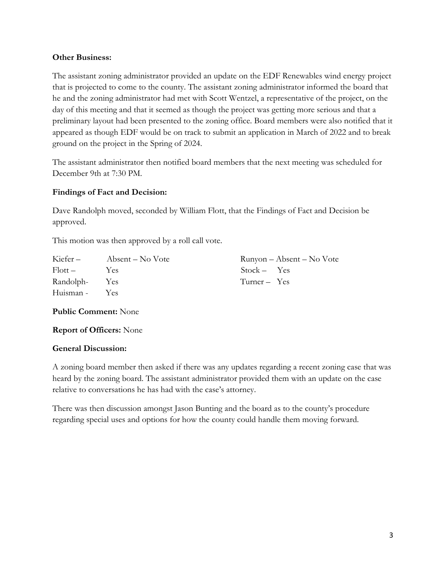### **Other Business:**

The assistant zoning administrator provided an update on the EDF Renewables wind energy project that is projected to come to the county. The assistant zoning administrator informed the board that he and the zoning administrator had met with Scott Wentzel, a representative of the project, on the day of this meeting and that it seemed as though the project was getting more serious and that a preliminary layout had been presented to the zoning office. Board members were also notified that it appeared as though EDF would be on track to submit an application in March of 2022 and to break ground on the project in the Spring of 2024.

The assistant administrator then notified board members that the next meeting was scheduled for December 9th at 7:30 PM.

### **Findings of Fact and Decision:**

Dave Randolph moved, seconded by William Flott, that the Findings of Fact and Decision be approved.

This motion was then approved by a roll call vote.

| Kiefer –      | Absent – No Vote | Runyon – Absent – No Vote |
|---------------|------------------|---------------------------|
| Flott –       | Yes              | $Stock - Yes$             |
| Randolph- Yes |                  | Turner – Yes              |
| Huisman -     | Yes              |                           |

**Public Comment:** None

**Report of Officers:** None

### **General Discussion:**

A zoning board member then asked if there was any updates regarding a recent zoning case that was heard by the zoning board. The assistant administrator provided them with an update on the case relative to conversations he has had with the case's attorney.

There was then discussion amongst Jason Bunting and the board as to the county's procedure regarding special uses and options for how the county could handle them moving forward.